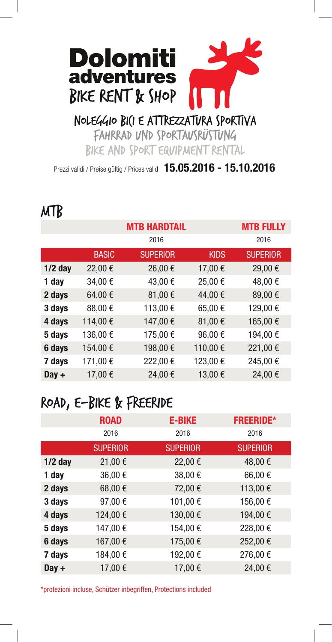# **Dolomiti** adventures BIKE RENT & SHOP

#### NOLEGGIO BICI E ATTREZZATURA SPORTIVA

FAHRRAD UND SPORTAUSRÜSTUNG BIKE AND SPORT EQUIPMENT RENTAL

Prezzi validi / Preise gültig / Prices valid **15.05.2016 - 15.10.2016** 

|           |              | <b>MTB HARDTAIL</b> | <b>MTB FULLY</b> |                 |
|-----------|--------------|---------------------|------------------|-----------------|
|           |              | 2016                |                  | 2016            |
|           | <b>BASIC</b> | <b>SUPERIOR</b>     | <b>KIDS</b>      | <b>SUPERIOR</b> |
| $1/2$ day | 22,00€       | 26,00€              | 17,00€           | 29,00€          |
| 1 day     | 34,00€       | 43,00€              | 25,00€           | 48,00€          |
| 2 days    | 64,00€       | 81,00€              | 44,00€           | 89,00€          |
| 3 days    | 88,00€       | 113,00€             | 65,00€           | 129,00€         |
| 4 days    | 114,00€      | 147,00€             | 81,00€           | 165,00€         |
| 5 days    | 136,00€      | 175,00€             | 96,00€           | 194,00€         |
| 6 days    | 154,00€      | 198,00€             | 110,00€          | 221,00€         |
| 7 days    | 171,00€      | 222,00€             | 123,00€          | 245,00€         |
| $Day +$   | 17,00€       | 24,00€              | 13,00€           | 24,00€          |

### ROAD, E-BIKE & FREERIDE

|           | <b>ROAD</b>     | <b>E-BIKE</b>   | <b>FREERIDE*</b> |
|-----------|-----------------|-----------------|------------------|
|           | 2016            | 2016            | 2016             |
|           | <b>SUPERIOR</b> | <b>SUPERIOR</b> | <b>SUPERIOR</b>  |
| $1/2$ day | 21,00€          | 22,00€          | 48,00€           |
| 1 day     | 36,00€          | 38,00€          | 66,00€           |
| 2 days    | 68,00€          | 72,00€          | 113,00€          |
| 3 days    | 97,00€          | 101,00€         | 156,00€          |
| 4 days    | 124,00€         | 130,00€         | 194,00€          |
| 5 days    | 147,00€         | 154,00€         | 228,00€          |
| 6 days    | 167,00€         | 175,00€         | 252,00€          |
| 7 days    | 184,00€         | 192,00€         | 276,00€          |
| $Day +$   | 17,00€          | 17,00€          | 24,00€           |

\*protezioni incluse, Schützer inbegriffen, Protections included